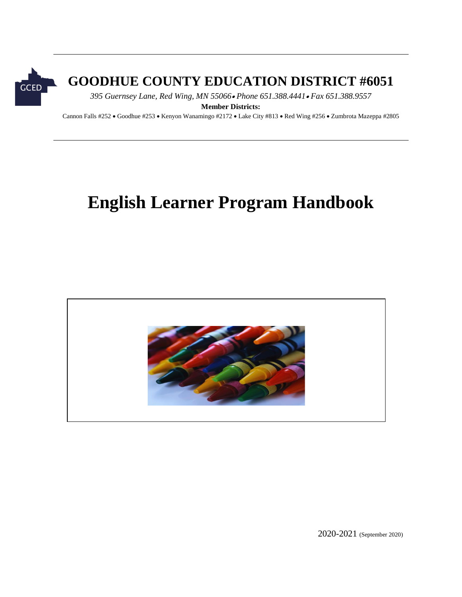

## **GOODHUE COUNTY EDUCATION DISTRICT #6051**

*395 Guernsey Lane, Red Wing, MN 55066 Phone 651.388.4441 Fax 651.388.9557*

**Member Districts:**

Cannon Falls #252 · Goodhue #253 · Kenyon Wanamingo #2172 · Lake City #813 · Red Wing #256 · Zumbrota Mazeppa #2805

# **English Learner Program Handbook**



2020-2021 (September 2020)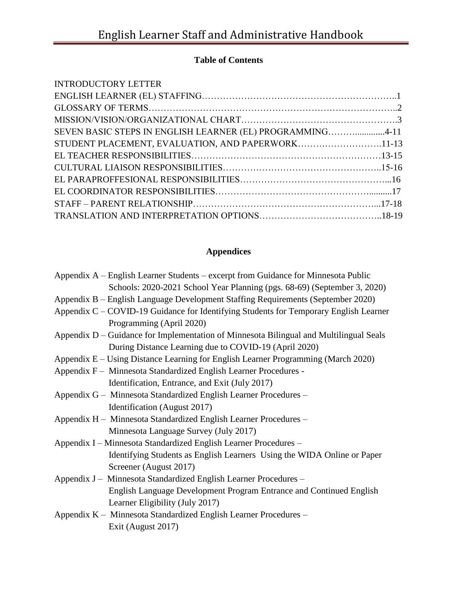#### **Table of Contents**

| SEVEN BASIC STEPS IN ENGLISH LEARNER (EL) PROGRAMMING4-11 |  |
|-----------------------------------------------------------|--|
| STUDENT PLACEMENT, EVALUATION, AND PAPERWORK11-13         |  |
|                                                           |  |
|                                                           |  |
|                                                           |  |
|                                                           |  |
|                                                           |  |
|                                                           |  |

### **Appendices**

| Appendix A – English Learner Students – excerpt from Guidance for Minnesota Public     |
|----------------------------------------------------------------------------------------|
| Schools: 2020-2021 School Year Planning (pgs. 68-69) (September 3, 2020)               |
| Appendix B – English Language Development Staffing Requirements (September 2020)       |
| Appendix C – COVID-19 Guidance for Identifying Students for Temporary English Learner  |
| Programming (April 2020)                                                               |
| Appendix D – Guidance for Implementation of Minnesota Bilingual and Multilingual Seals |
| During Distance Learning due to COVID-19 (April 2020)                                  |
| Appendix E – Using Distance Learning for English Learner Programming (March 2020)      |
| Appendix F – Minnesota Standardized English Learner Procedures -                       |
| Identification, Entrance, and Exit (July 2017)                                         |
| Appendix G – Minnesota Standardized English Learner Procedures –                       |
| Identification (August 2017)                                                           |
| Appendix H - Minnesota Standardized English Learner Procedures -                       |
| Minnesota Language Survey (July 2017)                                                  |
| Appendix I – Minnesota Standardized English Learner Procedures –                       |
| Identifying Students as English Learners Using the WIDA Online or Paper                |
| Screener (August 2017)                                                                 |
| Appendix J - Minnesota Standardized English Learner Procedures -                       |
| English Language Development Program Entrance and Continued English                    |
| Learner Eligibility (July 2017)                                                        |
| Appendix K - Minnesota Standardized English Learner Procedures -                       |
| Exit (August 2017)                                                                     |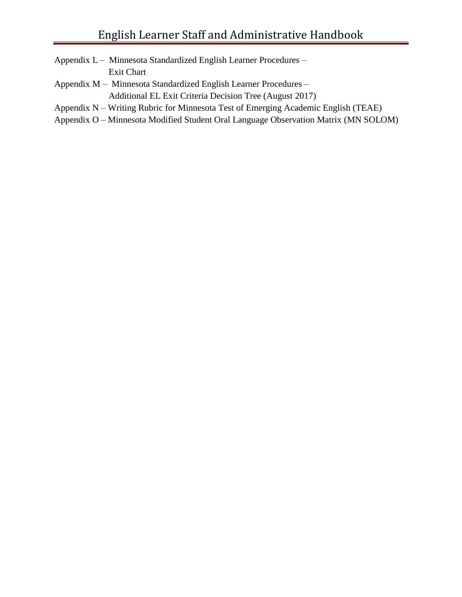- Appendix L Minnesota Standardized English Learner Procedures Exit Chart
- Appendix M Minnesota Standardized English Learner Procedures Additional EL Exit Criteria Decision Tree (August 2017)
- Appendix N Writing Rubric for Minnesota Test of Emerging Academic English (TEAE)
- Appendix O Minnesota Modified Student Oral Language Observation Matrix (MN SOLOM)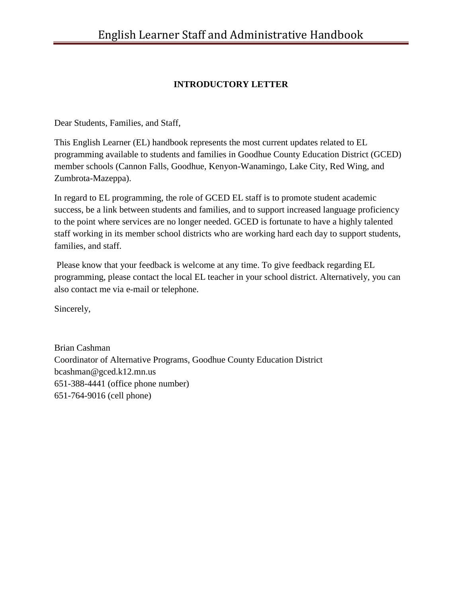#### **INTRODUCTORY LETTER**

Dear Students, Families, and Staff,

This English Learner (EL) handbook represents the most current updates related to EL programming available to students and families in Goodhue County Education District (GCED) member schools (Cannon Falls, Goodhue, Kenyon-Wanamingo, Lake City, Red Wing, and Zumbrota-Mazeppa).

In regard to EL programming, the role of GCED EL staff is to promote student academic success, be a link between students and families, and to support increased language proficiency to the point where services are no longer needed. GCED is fortunate to have a highly talented staff working in its member school districts who are working hard each day to support students, families, and staff.

Please know that your feedback is welcome at any time. To give feedback regarding EL programming, please contact the local EL teacher in your school district. Alternatively, you can also contact me via e-mail or telephone.

Sincerely,

Brian Cashman Coordinator of Alternative Programs, Goodhue County Education District [bcashman@gced.k12.mn.us](mailto:bcashman@gced.k12.mn.us) 651-388-4441 (office phone number) 651-764-9016 (cell phone)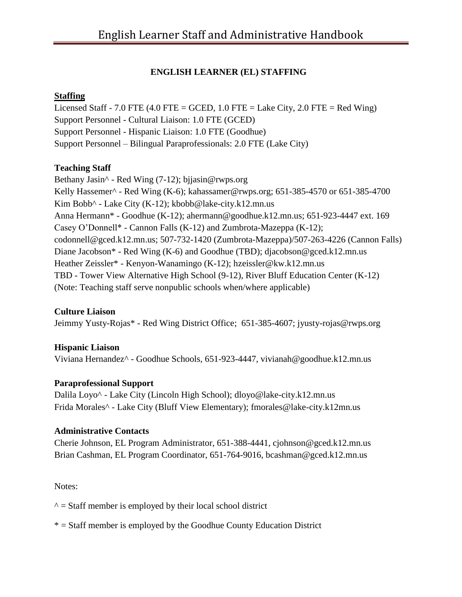#### **ENGLISH LEARNER (EL) STAFFING**

#### **Staffing**

Licensed Staff - 7.0 FTE  $(4.0$  FTE = GCED, 1.0 FTE = Lake City, 2.0 FTE = Red Wing) Support Personnel - Cultural Liaison: 1.0 FTE (GCED) Support Personnel - Hispanic Liaison: 1.0 FTE (Goodhue) Support Personnel – Bilingual Paraprofessionals: 2.0 FTE (Lake City)

#### **Teaching Staff**

Bethany Jasin^ - Red Wing (7-12); [bjjasin@rwps.org](mailto:bjjasin@rwps.org) Kelly Hassemer^ - Red Wing (K-6); [kahassamer@rwps.org;](mailto:kahassamer@rwps.org) 651-385-4570 or 651-385-4700 Kim Bobb^ - Lake City (K-12); [kbobb@lake-city.k12.mn.us](mailto:kbobb@lake-city.k12.mn.us) Anna Hermann\* - Goodhue (K-12); [ahermann@goodhue.k12.mn.us;](mailto:ahermann@goodhue.k12.mn.us) 651-923-4447 ext. 169 Casey O'Donnell\* - Cannon Falls (K-12) and Zumbrota-Mazeppa (K-12); [codonnell@gced.k12.mn.us;](mailto:codonnell@gced.k12.mn.us) 507-732-1420 (Zumbrota-Mazeppa)/507-263-4226 (Cannon Falls) Diane Jacobson\* - Red Wing (K-6) and Goodhue (TBD); djacobson@gced.k12.mn.us Heather Zeissler\* - Kenyon-Wanamingo (K-12); [hzeissler@kw.k12.mn.us](mailto:hzeissler@kw.k12.mn.us) TBD - Tower View Alternative High School (9-12), River Bluff Education Center (K-12) (Note: Teaching staff serve nonpublic schools when/where applicable)

#### **Culture Liaison**

Jeimmy Yusty-Rojas\* - Red Wing District Office; 651-385-4607; [jyusty-rojas@rwps.org](mailto:jyusty-rojas@rwps.org) 

#### **Hispanic Liaison**

Viviana Hernandez^ - Goodhue Schools, 651-923-4447, [vivianah@goodhue.k12.mn.us](mailto:vivianah@goodhue.k12.mn.us)

#### **Paraprofessional Support**

Dalila Loyo^ - Lake City (Lincoln High School); [dloyo@lake-city.k12.mn.us](mailto:dloyo@lake-city.k12.mn.us) Frida Morales^ - Lake City (Bluff View Elementary); fmorales@lake-city.k12mn.us

#### **Administrative Contacts**

Cherie Johnson, EL Program Administrator, 651-388-4441, [cjohnson@gced.k12.mn.us](mailto:cjohnson@gced.k12.mn.us) Brian Cashman, EL Program Coordinator, 651-764-9016, [bcashman@gced.k12.mn.us](mailto:bcashman@gced.k12.mn.us)

#### Notes:

 $\gamma$  = Staff member is employed by their local school district

\* = Staff member is employed by the Goodhue County Education District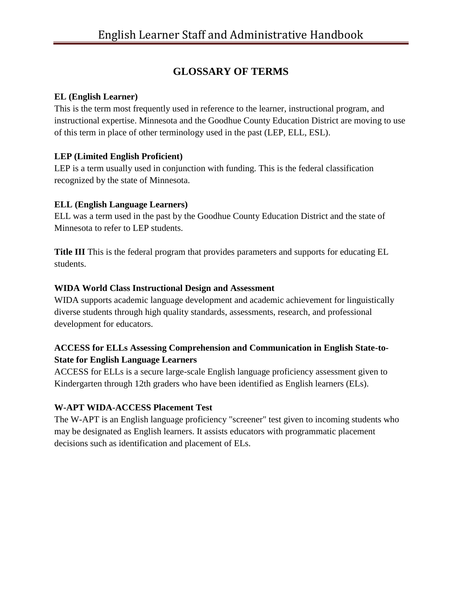### **GLOSSARY OF TERMS**

#### **EL (English Learner)**

This is the term most frequently used in reference to the learner, instructional program, and instructional expertise. Minnesota and the Goodhue County Education District are moving to use of this term in place of other terminology used in the past (LEP, ELL, ESL).

#### **LEP (Limited English Proficient)**

LEP is a term usually used in conjunction with funding. This is the federal classification recognized by the state of Minnesota.

#### **ELL (English Language Learners)**

ELL was a term used in the past by the Goodhue County Education District and the state of Minnesota to refer to LEP students.

**Title III** This is the federal program that provides parameters and supports for educating EL students.

#### **WIDA World Class Instructional Design and Assessment**

WIDA supports academic language development and academic achievement for linguistically diverse students through high quality standards, assessments, research, and professional development for educators.

#### **ACCESS for ELLs Assessing Comprehension and Communication in English State-to-State for English Language Learners**

ACCESS for ELLs is a secure large-scale English language proficiency assessment given to Kindergarten through 12th graders who have been identified as English learners (ELs).

#### **W-APT WIDA-ACCESS Placement Test**

The W-APT is an English language proficiency "screener" test given to incoming students who may be designated as English learners. It assists educators with programmatic placement decisions such as identification and placement of ELs.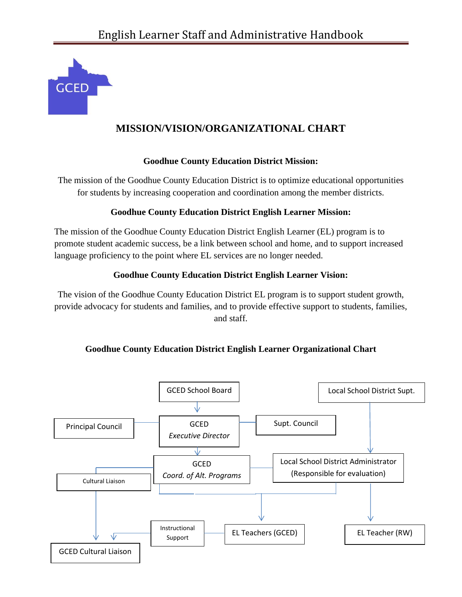

### **MISSION/VISION/ORGANIZATIONAL CHART**

#### **Goodhue County Education District Mission:**

The mission of the Goodhue County Education District is to optimize educational opportunities for students by increasing cooperation and coordination among the member districts.

#### **Goodhue County Education District English Learner Mission:**

The mission of the Goodhue County Education District English Learner (EL) program is to promote student academic success, be a link between school and home, and to support increased language proficiency to the point where EL services are no longer needed.

#### **Goodhue County Education District English Learner Vision:**

The vision of the Goodhue County Education District EL program is to support student growth, provide advocacy for students and families, and to provide effective support to students, families, and staff.

#### **Goodhue County Education District English Learner Organizational Chart**

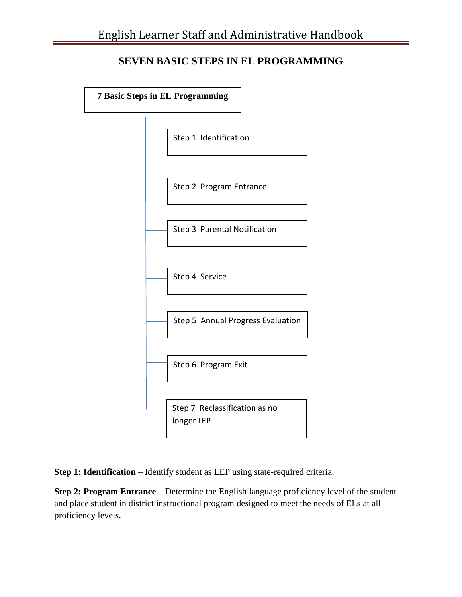### **SEVEN BASIC STEPS IN EL PROGRAMMING**



**Step 1: Identification** – Identify student as LEP using state-required criteria.

**Step 2: Program Entrance** – Determine the English language proficiency level of the student and place student in district instructional program designed to meet the needs of ELs at all proficiency levels.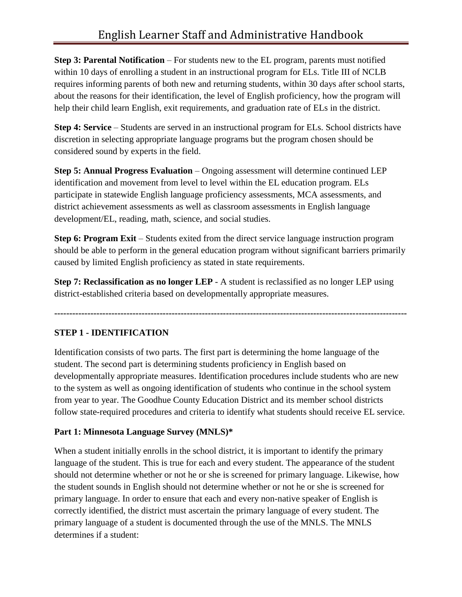**Step 3: Parental Notification** – For students new to the EL program, parents must notified within 10 days of enrolling a student in an instructional program for ELs. Title III of NCLB requires informing parents of both new and returning students, within 30 days after school starts, about the reasons for their identification, the level of English proficiency, how the program will help their child learn English, exit requirements, and graduation rate of ELs in the district.

**Step 4: Service** – Students are served in an instructional program for ELs. School districts have discretion in selecting appropriate language programs but the program chosen should be considered sound by experts in the field.

**Step 5: Annual Progress Evaluation** – Ongoing assessment will determine continued LEP identification and movement from level to level within the EL education program. ELs participate in statewide English language proficiency assessments, MCA assessments, and district achievement assessments as well as classroom assessments in English language development/EL, reading, math, science, and social studies.

**Step 6: Program Exit** – Students exited from the direct service language instruction program should be able to perform in the general education program without significant barriers primarily caused by limited English proficiency as stated in state requirements.

**Step 7: Reclassification as no longer LEP** - A student is reclassified as no longer LEP using district-established criteria based on developmentally appropriate measures.

**---------------------------------------------------------------------------------------------------------------------**

#### **STEP 1 - IDENTIFICATION**

Identification consists of two parts. The first part is determining the home language of the student. The second part is determining students proficiency in English based on developmentally appropriate measures. Identification procedures include students who are new to the system as well as ongoing identification of students who continue in the school system from year to year. The Goodhue County Education District and its member school districts follow state-required procedures and criteria to identify what students should receive EL service.

#### **Part 1: Minnesota Language Survey (MNLS)\***

When a student initially enrolls in the school district, it is important to identify the primary language of the student. This is true for each and every student. The appearance of the student should not determine whether or not he or she is screened for primary language. Likewise, how the student sounds in English should not determine whether or not he or she is screened for primary language. In order to ensure that each and every non-native speaker of English is correctly identified, the district must ascertain the primary language of every student. The primary language of a student is documented through the use of the MNLS. The MNLS determines if a student: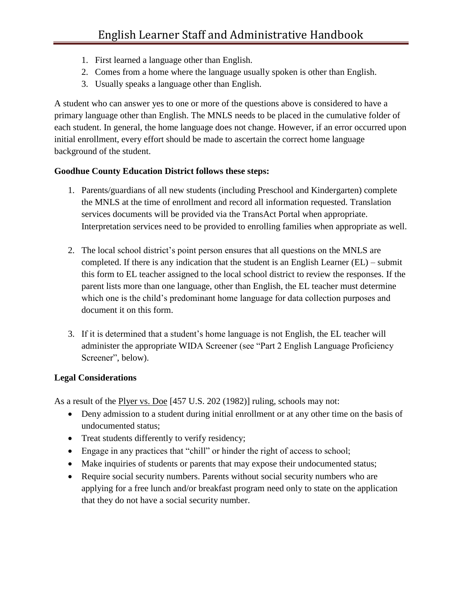- 1. First learned a language other than English.
- 2. Comes from a home where the language usually spoken is other than English.
- 3. Usually speaks a language other than English.

A student who can answer yes to one or more of the questions above is considered to have a primary language other than English. The MNLS needs to be placed in the cumulative folder of each student. In general, the home language does not change. However, if an error occurred upon initial enrollment, every effort should be made to ascertain the correct home language background of the student.

#### **Goodhue County Education District follows these steps:**

- 1. Parents/guardians of all new students (including Preschool and Kindergarten) complete the MNLS at the time of enrollment and record all information requested. Translation services documents will be provided via the TransAct Portal when appropriate. Interpretation services need to be provided to enrolling families when appropriate as well.
- 2. The local school district's point person ensures that all questions on the MNLS are completed. If there is any indication that the student is an English Learner (EL) – submit this form to EL teacher assigned to the local school district to review the responses. If the parent lists more than one language, other than English, the EL teacher must determine which one is the child's predominant home language for data collection purposes and document it on this form.
- 3. If it is determined that a student's home language is not English, the EL teacher will administer the appropriate WIDA Screener (see "Part 2 English Language Proficiency Screener", below).

#### **Legal Considerations**

As a result of the Plyer vs. Doe [457 U.S. 202 (1982)] ruling, schools may not:

- Deny admission to a student during initial enrollment or at any other time on the basis of undocumented status;
- Treat students differently to verify residency;
- Engage in any practices that "chill" or hinder the right of access to school;
- Make inquiries of students or parents that may expose their undocumented status;
- Require social security numbers. Parents without social security numbers who are applying for a free lunch and/or breakfast program need only to state on the application that they do not have a social security number.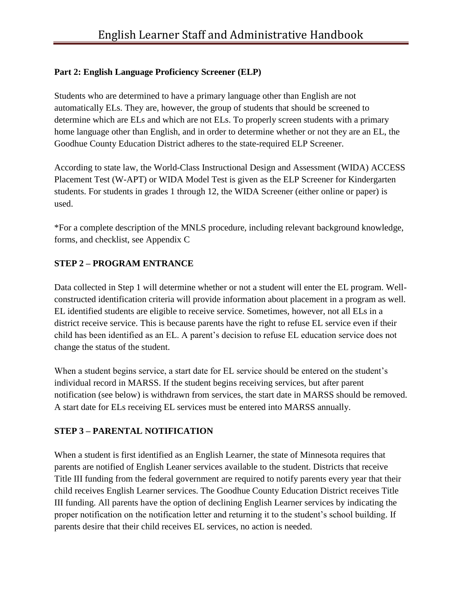#### **Part 2: English Language Proficiency Screener (ELP)**

Students who are determined to have a primary language other than English are not automatically ELs. They are, however, the group of students that should be screened to determine which are ELs and which are not ELs. To properly screen students with a primary home language other than English, and in order to determine whether or not they are an EL, the Goodhue County Education District adheres to the state-required ELP Screener.

According to state law, the World-Class Instructional Design and Assessment (WIDA) ACCESS Placement Test (W-APT) or WIDA Model Test is given as the ELP Screener for Kindergarten students. For students in grades 1 through 12, the WIDA Screener (either online or paper) is used.

\*For a complete description of the MNLS procedure, including relevant background knowledge, forms, and checklist, see Appendix C

#### **STEP 2 – PROGRAM ENTRANCE**

Data collected in Step 1 will determine whether or not a student will enter the EL program. Wellconstructed identification criteria will provide information about placement in a program as well. EL identified students are eligible to receive service. Sometimes, however, not all ELs in a district receive service. This is because parents have the right to refuse EL service even if their child has been identified as an EL. A parent's decision to refuse EL education service does not change the status of the student.

When a student begins service, a start date for EL service should be entered on the student's individual record in MARSS. If the student begins receiving services, but after parent notification (see below) is withdrawn from services, the start date in MARSS should be removed. A start date for ELs receiving EL services must be entered into MARSS annually.

#### **STEP 3 – PARENTAL NOTIFICATION**

When a student is first identified as an English Learner, the state of Minnesota requires that parents are notified of English Leaner services available to the student. Districts that receive Title III funding from the federal government are required to notify parents every year that their child receives English Learner services. The Goodhue County Education District receives Title III funding. All parents have the option of declining English Learner services by indicating the proper notification on the notification letter and returning it to the student's school building. If parents desire that their child receives EL services, no action is needed.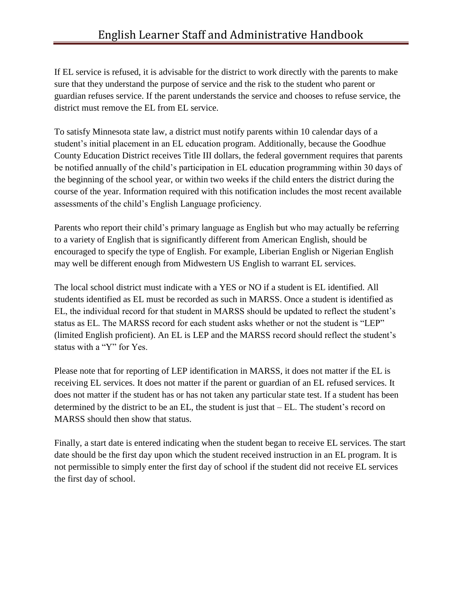If EL service is refused, it is advisable for the district to work directly with the parents to make sure that they understand the purpose of service and the risk to the student who parent or guardian refuses service. If the parent understands the service and chooses to refuse service, the district must remove the EL from EL service.

To satisfy Minnesota state law, a district must notify parents within 10 calendar days of a student's initial placement in an EL education program. Additionally, because the Goodhue County Education District receives Title III dollars, the federal government requires that parents be notified annually of the child's participation in EL education programming within 30 days of the beginning of the school year, or within two weeks if the child enters the district during the course of the year. Information required with this notification includes the most recent available assessments of the child's English Language proficiency.

Parents who report their child's primary language as English but who may actually be referring to a variety of English that is significantly different from American English, should be encouraged to specify the type of English. For example, Liberian English or Nigerian English may well be different enough from Midwestern US English to warrant EL services.

The local school district must indicate with a YES or NO if a student is EL identified. All students identified as EL must be recorded as such in MARSS. Once a student is identified as EL, the individual record for that student in MARSS should be updated to reflect the student's status as EL. The MARSS record for each student asks whether or not the student is "LEP" (limited English proficient). An EL is LEP and the MARSS record should reflect the student's status with a "Y" for Yes.

Please note that for reporting of LEP identification in MARSS, it does not matter if the EL is receiving EL services. It does not matter if the parent or guardian of an EL refused services. It does not matter if the student has or has not taken any particular state test. If a student has been determined by the district to be an EL, the student is just that – EL. The student's record on MARSS should then show that status.

Finally, a start date is entered indicating when the student began to receive EL services. The start date should be the first day upon which the student received instruction in an EL program. It is not permissible to simply enter the first day of school if the student did not receive EL services the first day of school.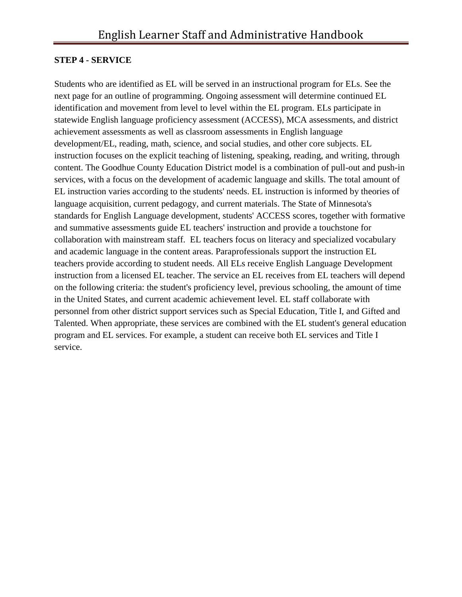#### **STEP 4 - SERVICE**

Students who are identified as EL will be served in an instructional program for ELs. See the next page for an outline of programming. Ongoing assessment will determine continued EL identification and movement from level to level within the EL program. ELs participate in statewide English language proficiency assessment (ACCESS), MCA assessments, and district achievement assessments as well as classroom assessments in English language development/EL, reading, math, science, and social studies, and other core subjects. EL instruction focuses on the explicit teaching of listening, speaking, reading, and writing, through content. The Goodhue County Education District model is a combination of pull-out and push-in services, with a focus on the development of academic language and skills. The total amount of EL instruction varies according to the students' needs. EL instruction is informed by theories of language acquisition, current pedagogy, and current materials. The State of Minnesota's standards for English Language development, students' ACCESS scores, together with formative and summative assessments guide EL teachers' instruction and provide a touchstone for collaboration with mainstream staff. EL teachers focus on literacy and specialized vocabulary and academic language in the content areas. Paraprofessionals support the instruction EL teachers provide according to student needs. All ELs receive English Language Development instruction from a licensed EL teacher. The service an EL receives from EL teachers will depend on the following criteria: the student's proficiency level, previous schooling, the amount of time in the United States, and current academic achievement level. EL staff collaborate with personnel from other district support services such as Special Education, Title I, and Gifted and Talented. When appropriate, these services are combined with the EL student's general education program and EL services. For example, a student can receive both EL services and Title I service.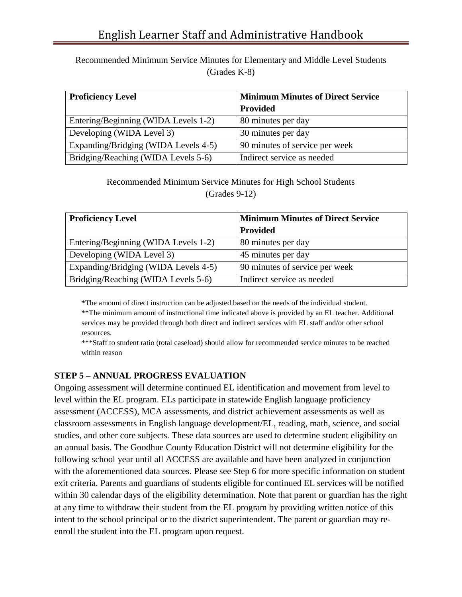Recommended Minimum Service Minutes for Elementary and Middle Level Students (Grades K-8)

| <b>Proficiency Level</b>             | <b>Minimum Minutes of Direct Service</b> |  |
|--------------------------------------|------------------------------------------|--|
|                                      | <b>Provided</b>                          |  |
| Entering/Beginning (WIDA Levels 1-2) | 80 minutes per day                       |  |
| Developing (WIDA Level 3)            | 30 minutes per day                       |  |
| Expanding/Bridging (WIDA Levels 4-5) | 90 minutes of service per week           |  |
| Bridging/Reaching (WIDA Levels 5-6)  | Indirect service as needed               |  |

Recommended Minimum Service Minutes for High School Students (Grades 9-12)

| <b>Proficiency Level</b>             | <b>Minimum Minutes of Direct Service</b> |
|--------------------------------------|------------------------------------------|
|                                      | Provided                                 |
| Entering/Beginning (WIDA Levels 1-2) | 80 minutes per day                       |
| Developing (WIDA Level 3)            | 45 minutes per day                       |
| Expanding/Bridging (WIDA Levels 4-5) | 90 minutes of service per week           |
| Bridging/Reaching (WIDA Levels 5-6)  | Indirect service as needed               |

\*The amount of direct instruction can be adjusted based on the needs of the individual student.

\*\*The minimum amount of instructional time indicated above is provided by an EL teacher. Additional services may be provided through both direct and indirect services with EL staff and/or other school resources.

\*\*\*Staff to student ratio (total caseload) should allow for recommended service minutes to be reached within reason

#### **STEP 5 – ANNUAL PROGRESS EVALUATION**

Ongoing assessment will determine continued EL identification and movement from level to level within the EL program. ELs participate in statewide English language proficiency assessment (ACCESS), MCA assessments, and district achievement assessments as well as classroom assessments in English language development/EL, reading, math, science, and social studies, and other core subjects. These data sources are used to determine student eligibility on an annual basis. The Goodhue County Education District will not determine eligibility for the following school year until all ACCESS are available and have been analyzed in conjunction with the aforementioned data sources. Please see Step 6 for more specific information on student exit criteria. Parents and guardians of students eligible for continued EL services will be notified within 30 calendar days of the eligibility determination. Note that parent or guardian has the right at any time to withdraw their student from the EL program by providing written notice of this intent to the school principal or to the district superintendent. The parent or guardian may reenroll the student into the EL program upon request.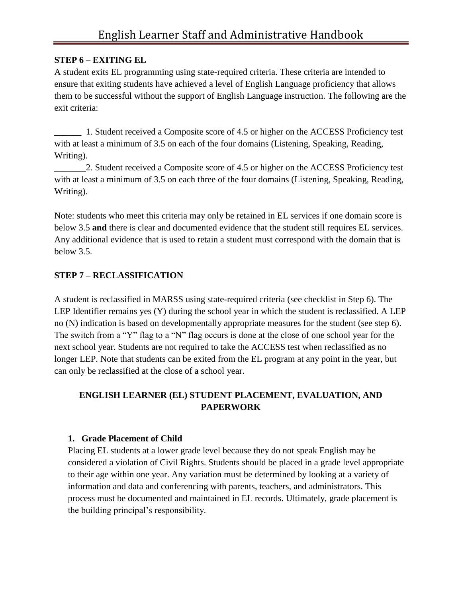#### **STEP 6 – EXITING EL**

A student exits EL programming using state-required criteria. These criteria are intended to ensure that exiting students have achieved a level of English Language proficiency that allows them to be successful without the support of English Language instruction. The following are the exit criteria:

\_\_\_\_\_\_ 1. Student received a Composite score of 4.5 or higher on the ACCESS Proficiency test with at least a minimum of 3.5 on each of the four domains (Listening, Speaking, Reading, Writing).

\_\_\_\_\_\_\_2. Student received a Composite score of 4.5 or higher on the ACCESS Proficiency test with at least a minimum of 3.5 on each three of the four domains (Listening, Speaking, Reading, Writing).

Note: students who meet this criteria may only be retained in EL services if one domain score is below 3.5 **and** there is clear and documented evidence that the student still requires EL services. Any additional evidence that is used to retain a student must correspond with the domain that is below 3.5.

#### **STEP 7 – RECLASSIFICATION**

A student is reclassified in MARSS using state-required criteria (see checklist in Step 6). The LEP Identifier remains yes (Y) during the school year in which the student is reclassified. A LEP no (N) indication is based on developmentally appropriate measures for the student (see step 6). The switch from a "Y" flag to a "N" flag occurs is done at the close of one school year for the next school year. Students are not required to take the ACCESS test when reclassified as no longer LEP. Note that students can be exited from the EL program at any point in the year, but can only be reclassified at the close of a school year.

#### **ENGLISH LEARNER (EL) STUDENT PLACEMENT, EVALUATION, AND PAPERWORK**

#### **1. Grade Placement of Child**

Placing EL students at a lower grade level because they do not speak English may be considered a violation of Civil Rights. Students should be placed in a grade level appropriate to their age within one year. Any variation must be determined by looking at a variety of information and data and conferencing with parents, teachers, and administrators. This process must be documented and maintained in EL records. Ultimately, grade placement is the building principal's responsibility.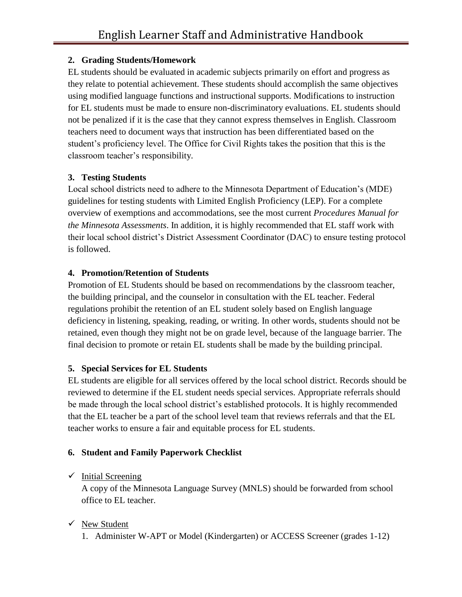#### **2. Grading Students/Homework**

EL students should be evaluated in academic subjects primarily on effort and progress as they relate to potential achievement. These students should accomplish the same objectives using modified language functions and instructional supports. Modifications to instruction for EL students must be made to ensure non-discriminatory evaluations. EL students should not be penalized if it is the case that they cannot express themselves in English. Classroom teachers need to document ways that instruction has been differentiated based on the student's proficiency level. The Office for Civil Rights takes the position that this is the classroom teacher's responsibility.

#### **3. Testing Students**

Local school districts need to adhere to the Minnesota Department of Education's (MDE) guidelines for testing students with Limited English Proficiency (LEP). For a complete overview of exemptions and accommodations, see the most current *Procedures Manual for the Minnesota Assessments*. In addition, it is highly recommended that EL staff work with their local school district's District Assessment Coordinator (DAC) to ensure testing protocol is followed.

#### **4. Promotion/Retention of Students**

Promotion of EL Students should be based on recommendations by the classroom teacher, the building principal, and the counselor in consultation with the EL teacher. Federal regulations prohibit the retention of an EL student solely based on English language deficiency in listening, speaking, reading, or writing. In other words, students should not be retained, even though they might not be on grade level, because of the language barrier. The final decision to promote or retain EL students shall be made by the building principal.

#### **5. Special Services for EL Students**

EL students are eligible for all services offered by the local school district. Records should be reviewed to determine if the EL student needs special services. Appropriate referrals should be made through the local school district's established protocols. It is highly recommended that the EL teacher be a part of the school level team that reviews referrals and that the EL teacher works to ensure a fair and equitable process for EL students.

#### **6. Student and Family Paperwork Checklist**

#### $\checkmark$  Initial Screening

A copy of the Minnesota Language Survey (MNLS) should be forwarded from school office to EL teacher.

#### $\checkmark$  New Student

1. Administer W-APT or Model (Kindergarten) or ACCESS Screener (grades 1-12)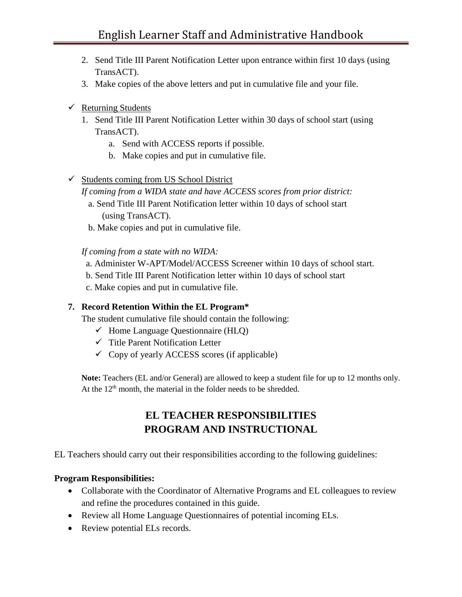- 2. Send Title III Parent Notification Letter upon entrance within first 10 days (using TransACT).
- 3. Make copies of the above letters and put in cumulative file and your file.
- $\checkmark$  Returning Students
	- 1. Send Title III Parent Notification Letter within 30 days of school start (using TransACT).
		- a. Send with ACCESS reports if possible.
		- b. Make copies and put in cumulative file.
- $\checkmark$  Students coming from US School District
	- *If coming from a WIDA state and have ACCESS scores from prior district:*
		- a. Send Title III Parent Notification letter within 10 days of school start (using TransACT).
		- b. Make copies and put in cumulative file.

 *If coming from a state with no WIDA:*

- a. Administer W-APT/Model/ACCESS Screener within 10 days of school start.
- b. Send Title III Parent Notification letter within 10 days of school start
- c. Make copies and put in cumulative file.

#### **7. Record Retention Within the EL Program\***

The student cumulative file should contain the following:

- $\checkmark$  Home Language Questionnaire (HLQ)
- $\checkmark$  Title Parent Notification Letter
- $\checkmark$  Copy of yearly ACCESS scores (if applicable)

**Note:** Teachers (EL and/or General) are allowed to keep a student file for up to 12 months only. At the  $12<sup>th</sup>$  month, the material in the folder needs to be shredded.

### **EL TEACHER RESPONSIBILITIES PROGRAM AND INSTRUCTIONAL**

EL Teachers should carry out their responsibilities according to the following guidelines:

#### **Program Responsibilities:**

- Collaborate with the Coordinator of Alternative Programs and EL colleagues to review and refine the procedures contained in this guide.
- Review all Home Language Questionnaires of potential incoming ELs.
- Review potential ELs records.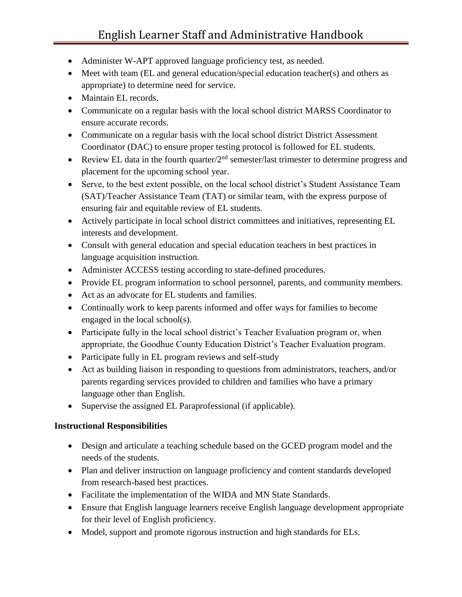- Administer W-APT approved language proficiency test, as needed.
- Meet with team (EL and general education/special education teacher(s) and others as appropriate) to determine need for service.
- Maintain EL records.
- Communicate on a regular basis with the local school district MARSS Coordinator to ensure accurate records.
- Communicate on a regular basis with the local school district District Assessment Coordinator (DAC) to ensure proper testing protocol is followed for EL students.
- Review EL data in the fourth quarter/ $2<sup>nd</sup>$  semester/last trimester to determine progress and placement for the upcoming school year.
- Serve, to the best extent possible, on the local school district's Student Assistance Team (SAT)/Teacher Assistance Team (TAT) or similar team, with the express purpose of ensuring fair and equitable review of EL students.
- Actively participate in local school district committees and initiatives, representing EL interests and development.
- Consult with general education and special education teachers in best practices in language acquisition instruction.
- Administer ACCESS testing according to state-defined procedures.
- Provide EL program information to school personnel, parents, and community members.
- Act as an advocate for EL students and families.
- Continually work to keep parents informed and offer ways for families to become engaged in the local school(s).
- Participate fully in the local school district's Teacher Evaluation program or, when appropriate, the Goodhue County Education District's Teacher Evaluation program.
- Participate fully in EL program reviews and self-study
- Act as building liaison in responding to questions from administrators, teachers, and/or parents regarding services provided to children and families who have a primary language other than English.
- Supervise the assigned EL Paraprofessional (if applicable).

#### **Instructional Responsibilities**

- Design and articulate a teaching schedule based on the GCED program model and the needs of the students.
- Plan and deliver instruction on language proficiency and content standards developed from research-based best practices.
- Facilitate the implementation of the WIDA and MN State Standards.
- Ensure that English language learners receive English language development appropriate for their level of English proficiency.
- Model, support and promote rigorous instruction and high standards for ELs.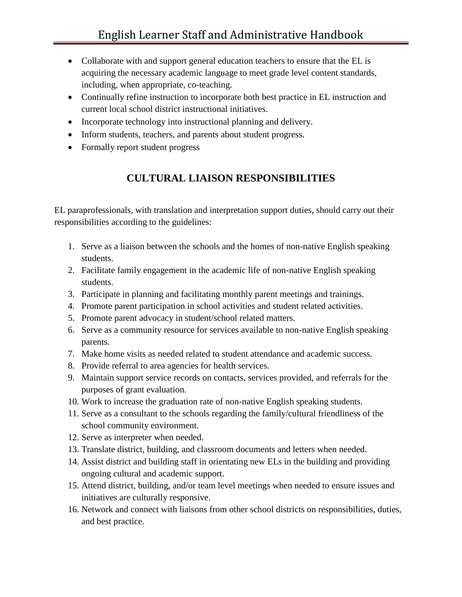- Collaborate with and support general education teachers to ensure that the EL is acquiring the necessary academic language to meet grade level content standards, including, when appropriate, co-teaching.
- Continually refine instruction to incorporate both best practice in EL instruction and current local school district instructional initiatives.
- Incorporate technology into instructional planning and delivery.
- Inform students, teachers, and parents about student progress.
- Formally report student progress

### **CULTURAL LIAISON RESPONSIBILITIES**

EL paraprofessionals, with translation and interpretation support duties, should carry out their responsibilities according to the guidelines:

- 1. Serve as a liaison between the schools and the homes of non-native English speaking students.
- 2. Facilitate family engagement in the academic life of non-native English speaking students.
- 3. Participate in planning and facilitating monthly parent meetings and trainings.
- 4. Promote parent participation in school activities and student related activities.
- 5. Promote parent advocacy in student/school related matters.
- 6. Serve as a community resource for services available to non-native English speaking parents.
- 7. Make home visits as needed related to student attendance and academic success.
- 8. Provide referral to area agencies for health services.
- 9. Maintain support service records on contacts, services provided, and referrals for the purposes of grant evaluation.
- 10. Work to increase the graduation rate of non-native English speaking students.
- 11. Serve as a consultant to the schools regarding the family/cultural friendliness of the school community environment.
- 12. Serve as interpreter when needed.
- 13. Translate district, building, and classroom documents and letters when needed.
- 14. Assist district and building staff in orientating new ELs in the building and providing ongoing cultural and academic support.
- 15. Attend district, building, and/or team level meetings when needed to ensure issues and initiatives are culturally responsive.
- 16. Network and connect with liaisons from other school districts on responsibilities, duties, and best practice.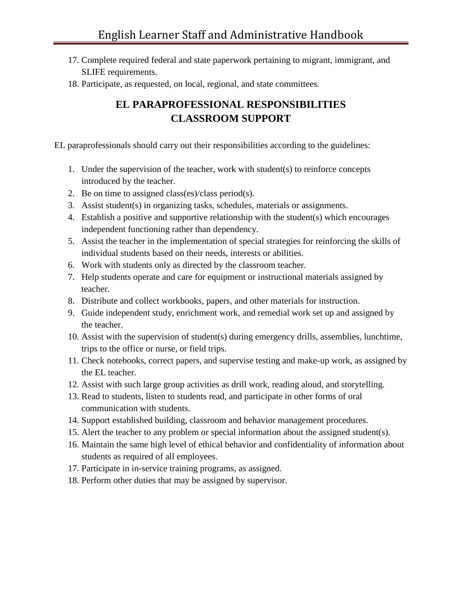- 17. Complete required federal and state paperwork pertaining to migrant, immigrant, and SLIFE requirements.
- 18. Participate, as requested, on local, regional, and state committees.

### **EL PARAPROFESSIONAL RESPONSIBILITIES CLASSROOM SUPPORT**

EL paraprofessionals should carry out their responsibilities according to the guidelines:

- 1. Under the supervision of the teacher, work with student(s) to reinforce concepts introduced by the teacher.
- 2. Be on time to assigned class(es)/class period(s).
- 3. Assist student(s) in organizing tasks, schedules, materials or assignments.
- 4. Establish a positive and supportive relationship with the student(s) which encourages independent functioning rather than dependency.
- 5. Assist the teacher in the implementation of special strategies for reinforcing the skills of individual students based on their needs, interests or abilities.
- 6. Work with students only as directed by the classroom teacher.
- 7. Help students operate and care for equipment or instructional materials assigned by teacher.
- 8. Distribute and collect workbooks, papers, and other materials for instruction.
- 9. Guide independent study, enrichment work, and remedial work set up and assigned by the teacher.
- 10. Assist with the supervision of student(s) during emergency drills, assemblies, lunchtime, trips to the office or nurse, or field trips.
- 11. Check notebooks, correct papers, and supervise testing and make-up work, as assigned by the EL teacher.
- 12. Assist with such large group activities as drill work, reading aloud, and storytelling.
- 13. Read to students, listen to students read, and participate in other forms of oral communication with students.
- 14. Support established building, classroom and behavior management procedures.
- 15. Alert the teacher to any problem or special information about the assigned student(s).
- 16. Maintain the same high level of ethical behavior and confidentiality of information about students as required of all employees.
- 17. Participate in in-service training programs, as assigned.
- 18. Perform other duties that may be assigned by supervisor.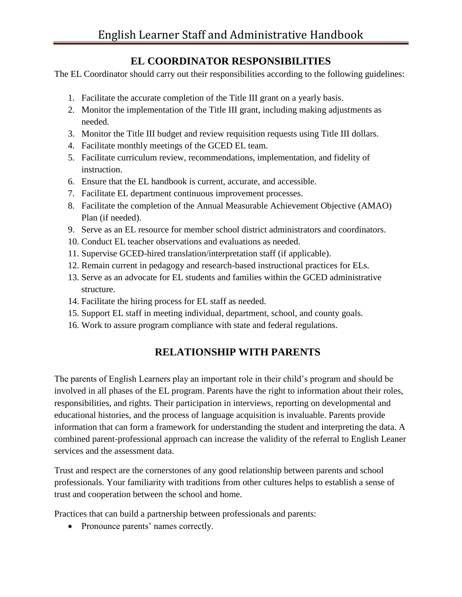### **EL COORDINATOR RESPONSIBILITIES**

The EL Coordinator should carry out their responsibilities according to the following guidelines:

- 1. Facilitate the accurate completion of the Title III grant on a yearly basis.
- 2. Monitor the implementation of the Title III grant, including making adjustments as needed.
- 3. Monitor the Title III budget and review requisition requests using Title III dollars.
- 4. Facilitate monthly meetings of the GCED EL team.
- 5. Facilitate curriculum review, recommendations, implementation, and fidelity of instruction.
- 6. Ensure that the EL handbook is current, accurate, and accessible.
- 7. Facilitate EL department continuous improvement processes.
- 8. Facilitate the completion of the Annual Measurable Achievement Objective (AMAO) Plan (if needed).
- 9. Serve as an EL resource for member school district administrators and coordinators.
- 10. Conduct EL teacher observations and evaluations as needed.
- 11. Supervise GCED-hired translation/interpretation staff (if applicable).
- 12. Remain current in pedagogy and research-based instructional practices for ELs.
- 13. Serve as an advocate for EL students and families within the GCED administrative structure.
- 14. Facilitate the hiring process for EL staff as needed.
- 15. Support EL staff in meeting individual, department, school, and county goals.
- 16. Work to assure program compliance with state and federal regulations.

### **RELATIONSHIP WITH PARENTS**

The parents of English Learners play an important role in their child's program and should be involved in all phases of the EL program. Parents have the right to information about their roles, responsibilities, and rights. Their participation in interviews, reporting on developmental and educational histories, and the process of language acquisition is invaluable. Parents provide information that can form a framework for understanding the student and interpreting the data. A combined parent-professional approach can increase the validity of the referral to English Leaner services and the assessment data.

Trust and respect are the cornerstones of any good relationship between parents and school professionals. Your familiarity with traditions from other cultures helps to establish a sense of trust and cooperation between the school and home.

Practices that can build a partnership between professionals and parents:

• Pronounce parents' names correctly.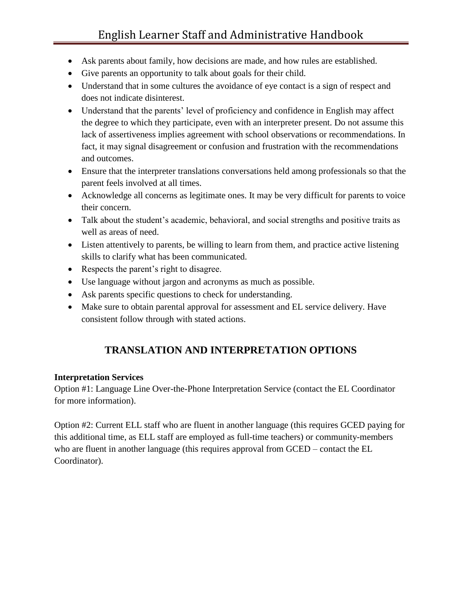- Ask parents about family, how decisions are made, and how rules are established.
- Give parents an opportunity to talk about goals for their child.
- Understand that in some cultures the avoidance of eye contact is a sign of respect and does not indicate disinterest.
- Understand that the parents' level of proficiency and confidence in English may affect the degree to which they participate, even with an interpreter present. Do not assume this lack of assertiveness implies agreement with school observations or recommendations. In fact, it may signal disagreement or confusion and frustration with the recommendations and outcomes.
- Ensure that the interpreter translations conversations held among professionals so that the parent feels involved at all times.
- Acknowledge all concerns as legitimate ones. It may be very difficult for parents to voice their concern.
- Talk about the student's academic, behavioral, and social strengths and positive traits as well as areas of need.
- Listen attentively to parents, be willing to learn from them, and practice active listening skills to clarify what has been communicated.
- Respects the parent's right to disagree.
- Use language without jargon and acronyms as much as possible.
- Ask parents specific questions to check for understanding.
- Make sure to obtain parental approval for assessment and EL service delivery. Have consistent follow through with stated actions.

### **TRANSLATION AND INTERPRETATION OPTIONS**

#### **Interpretation Services**

Option #1: Language Line Over-the-Phone Interpretation Service (contact the EL Coordinator for more information).

Option #2: Current ELL staff who are fluent in another language (this requires GCED paying for this additional time, as ELL staff are employed as full-time teachers) or community-members who are fluent in another language (this requires approval from GCED – contact the EL Coordinator).